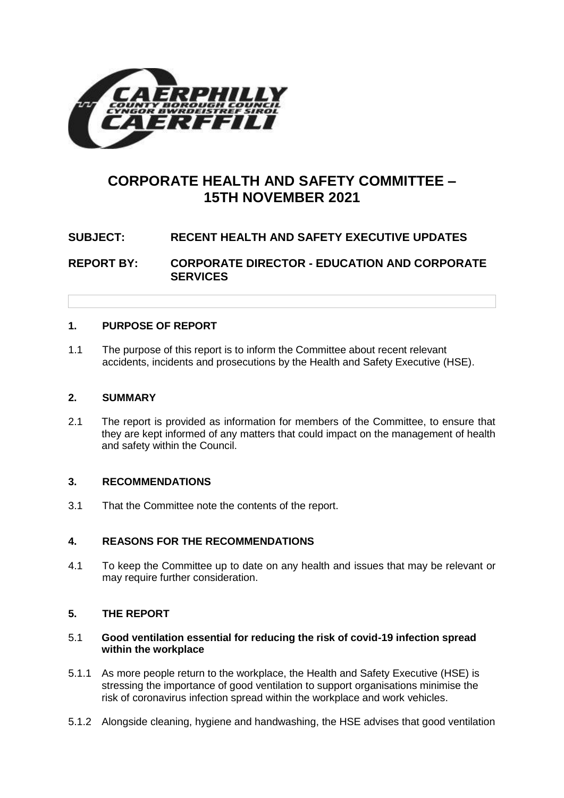

# **CORPORATE HEALTH AND SAFETY COMMITTEE – 15TH NOVEMBER 2021**

# **SUBJECT: RECENT HEALTH AND SAFETY EXECUTIVE UPDATES**

**REPORT BY: CORPORATE DIRECTOR - EDUCATION AND CORPORATE SERVICES**

# **1. PURPOSE OF REPORT**

1.1 The purpose of this report is to inform the Committee about recent relevant accidents, incidents and prosecutions by the Health and Safety Executive (HSE).

#### **2. SUMMARY**

2.1 The report is provided as information for members of the Committee, to ensure that they are kept informed of any matters that could impact on the management of health and safety within the Council.

# **3. RECOMMENDATIONS**

3.1 That the Committee note the contents of the report.

# **4. REASONS FOR THE RECOMMENDATIONS**

4.1 To keep the Committee up to date on any health and issues that may be relevant or may require further consideration.

# **5. THE REPORT**

#### 5.1 **Good ventilation essential for reducing the risk of covid-19 infection spread within the workplace**

- 5.1.1 As more people return to the workplace, the Health and Safety Executive (HSE) is stressing the importance of good ventilation to support organisations minimise the risk of coronavirus infection spread within the workplace and work vehicles.
- 5.1.2 Alongside cleaning, hygiene and handwashing, the HSE advises that good ventilation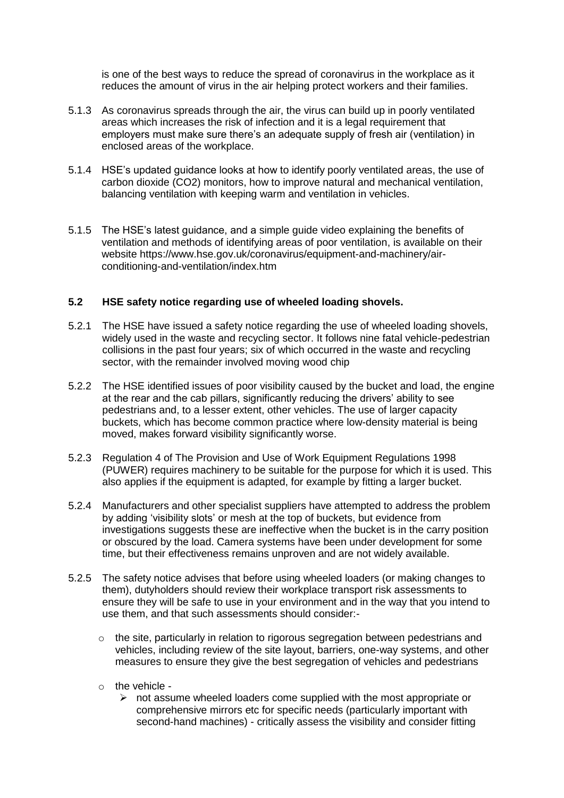is one of the best ways to reduce the spread of coronavirus in the workplace as it reduces the amount of virus in the air helping protect workers and their families.

- 5.1.3 As coronavirus spreads through the air, the virus can build up in poorly ventilated areas which increases the risk of infection and it is a legal requirement that employers must make sure there's an adequate supply of fresh air (ventilation) in enclosed areas of the workplace.
- 5.1.4 HSE's updated guidance looks at how to identify poorly ventilated areas, the use of carbon dioxide (CO2) monitors, how to improve natural and mechanical ventilation, balancing ventilation with keeping warm and ventilation in vehicles.
- 5.1.5 The HSE's latest guidance, and a simple guide video explaining the benefits of ventilation and methods of identifying areas of poor ventilation, is available on their website [https://www.hse.gov.uk/coronavirus/equipment-and-machinery/air](https://www.hse.gov.uk/coronavirus/equipment-and-machinery/air-conditioning-and-ventilation/index.htm)[conditioning-and-ventilation/index.htm](https://www.hse.gov.uk/coronavirus/equipment-and-machinery/air-conditioning-and-ventilation/index.htm)

#### **5.2 HSE safety notice regarding use of wheeled loading shovels.**

- 5.2.1 The HSE have issued a safety notice regarding the use of wheeled loading shovels, widely used in the waste and recycling sector. It follows nine fatal vehicle-pedestrian collisions in the past four years; six of which occurred in the waste and recycling sector, with the remainder involved moving wood chip
- 5.2.2 The HSE identified issues of poor visibility caused by the bucket and load, the engine at the rear and the cab pillars, significantly reducing the drivers' ability to see pedestrians and, to a lesser extent, other vehicles. The use of larger capacity buckets, which has become common practice where low-density material is being moved, makes forward visibility significantly worse.
- 5.2.3 Regulation 4 of The Provision and Use of Work Equipment Regulations 1998 (PUWER) requires machinery to be suitable for the purpose for which it is used. This also applies if the equipment is adapted, for example by fitting a larger bucket.
- 5.2.4 Manufacturers and other specialist suppliers have attempted to address the problem by adding 'visibility slots' or mesh at the top of buckets, but evidence from investigations suggests these are ineffective when the bucket is in the carry position or obscured by the load. Camera systems have been under development for some time, but their effectiveness remains unproven and are not widely available.
- 5.2.5 The safety notice advises that before using wheeled loaders (or making changes to them), dutyholders should review their workplace transport risk assessments to ensure they will be safe to use in your environment and in the way that you intend to use them, and that such assessments should consider:-
	- $\circ$  the site, particularly in relation to rigorous segregation between pedestrians and vehicles, including review of the site layout, barriers, one-way systems, and other measures to ensure they give the best segregation of vehicles and pedestrians
	- o the vehicle
		- $\triangleright$  not assume wheeled loaders come supplied with the most appropriate or comprehensive mirrors etc for specific needs (particularly important with second-hand machines) - critically assess the visibility and consider fitting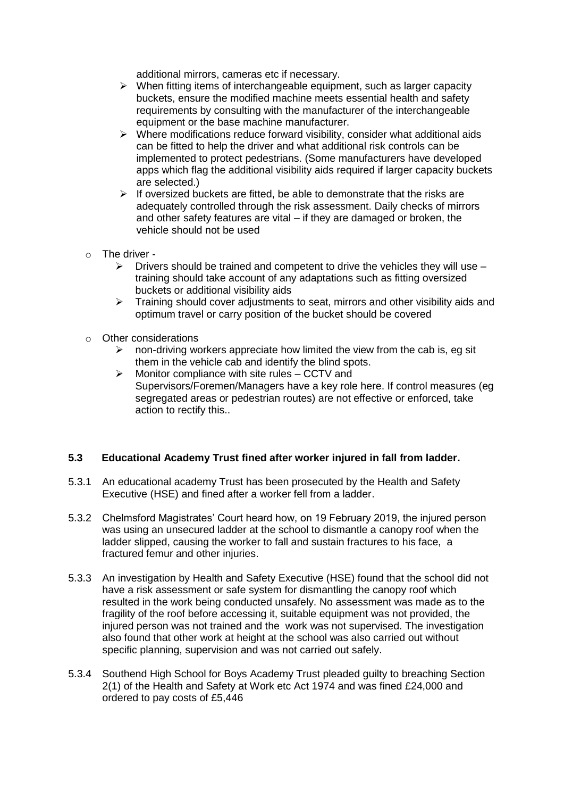additional mirrors, cameras etc if necessary.

- $\triangleright$  When fitting items of interchangeable equipment, such as larger capacity buckets, ensure the modified machine meets essential health and safety requirements by consulting with the manufacturer of the interchangeable equipment or the base machine manufacturer.
- $\triangleright$  Where modifications reduce forward visibility, consider what additional aids can be fitted to help the driver and what additional risk controls can be implemented to protect pedestrians. (Some manufacturers have developed apps which flag the additional visibility aids required if larger capacity buckets are selected.)
- $\triangleright$  If oversized buckets are fitted, be able to demonstrate that the risks are adequately controlled through the risk assessment. Daily checks of mirrors and other safety features are vital – if they are damaged or broken, the vehicle should not be used
- o The driver
	- $\triangleright$  Drivers should be trained and competent to drive the vehicles they will use training should take account of any adaptations such as fitting oversized buckets or additional visibility aids
	- $\triangleright$  Training should cover adjustments to seat, mirrors and other visibility aids and optimum travel or carry position of the bucket should be covered
- o Other considerations
	- $\triangleright$  non-driving workers appreciate how limited the view from the cab is, eg sit them in the vehicle cab and identify the blind spots.
	- $\triangleright$  Monitor compliance with site rules CCTV and Supervisors/Foremen/Managers have a key role here. If control measures (eg segregated areas or pedestrian routes) are not effective or enforced, take action to rectify this..

# **5.3 Educational Academy Trust fined after worker injured in fall from ladder.**

- 5.3.1 An educational academy Trust has been prosecuted by the Health and Safety Executive (HSE) and fined after a worker fell from a ladder.
- 5.3.2 Chelmsford Magistrates' Court heard how, on 19 February 2019, the injured person was using an unsecured ladder at the school to dismantle a canopy roof when the ladder slipped, causing the worker to fall and sustain fractures to his face, a fractured femur and other injuries.
- 5.3.3 An investigation by Health and Safety Executive (HSE) found that the school did not have a risk assessment or safe system for dismantling the canopy roof which resulted in the work being conducted unsafely. No assessment was made as to the fragility of the roof before accessing it, suitable equipment was not provided, the injured person was not trained and the work was not supervised. The investigation also found that other work at height at the school was also carried out without specific planning, supervision and was not carried out safely.
- 5.3.4 Southend High School for Boys Academy Trust pleaded guilty to breaching Section 2(1) of the Health and Safety at Work etc Act 1974 and was fined £24,000 and ordered to pay costs of £5,446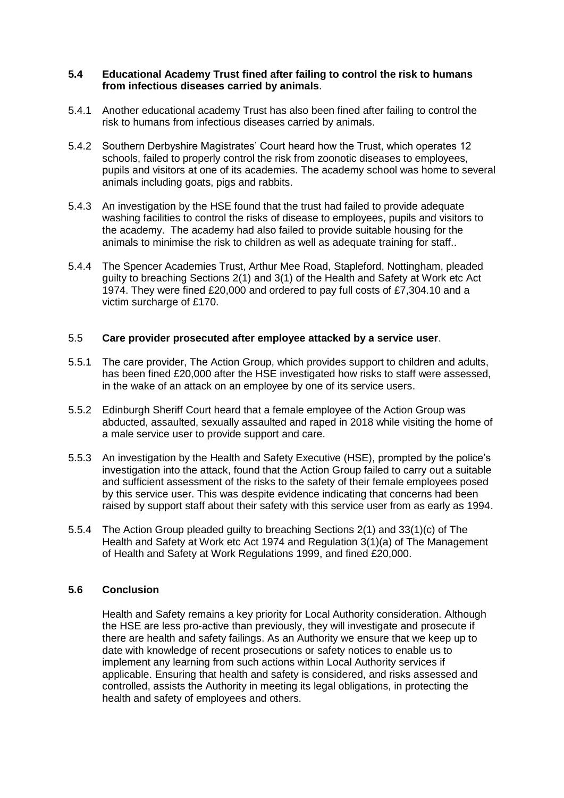#### **5.4 Educational Academy Trust fined after failing to control the risk to humans from infectious diseases carried by animals**.

- 5.4.1 Another educational academy Trust has also been fined after failing to control the risk to humans from infectious diseases carried by animals.
- 5.4.2 Southern Derbyshire Magistrates' Court heard how the Trust, which operates 12 schools, failed to properly control the risk from zoonotic diseases to employees, pupils and visitors at one of its academies. The academy school was home to several animals including goats, pigs and rabbits.
- 5.4.3 An investigation by the HSE found that the trust had failed to provide adequate washing facilities to control the risks of disease to employees, pupils and visitors to the academy. The academy had also failed to provide suitable housing for the animals to minimise the risk to children as well as adequate training for staff..
- 5.4.4 The Spencer Academies Trust, Arthur Mee Road, Stapleford, Nottingham, pleaded guilty to breaching Sections 2(1) and 3(1) of the Health and Safety at Work etc Act 1974. They were fined £20,000 and ordered to pay full costs of £7,304.10 and a victim surcharge of £170.

#### 5.5 **Care provider prosecuted after employee attacked by a service user**.

- 5.5.1 The care provider, The Action Group, which provides support to children and adults, has been fined £20,000 after the HSE investigated how risks to staff were assessed, in the wake of an attack on an employee by one of its service users.
- 5.5.2 Edinburgh Sheriff Court heard that a female employee of the Action Group was abducted, assaulted, sexually assaulted and raped in 2018 while visiting the home of a male service user to provide support and care.
- 5.5.3 An investigation by the Health and Safety Executive (HSE), prompted by the police's investigation into the attack, found that the Action Group failed to carry out a suitable and sufficient assessment of the risks to the safety of their female employees posed by this service user. This was despite evidence indicating that concerns had been raised by support staff about their safety with this service user from as early as 1994.
- 5.5.4 The Action Group pleaded guilty to breaching Sections 2(1) and 33(1)(c) of The Health and Safety at Work etc Act 1974 and Regulation 3(1)(a) of The Management of Health and Safety at Work Regulations 1999, and fined £20,000.

# **5.6 Conclusion**

Health and Safety remains a key priority for Local Authority consideration. Although the HSE are less pro-active than previously, they will investigate and prosecute if there are health and safety failings. As an Authority we ensure that we keep up to date with knowledge of recent prosecutions or safety notices to enable us to implement any learning from such actions within Local Authority services if applicable. Ensuring that health and safety is considered, and risks assessed and controlled, assists the Authority in meeting its legal obligations, in protecting the health and safety of employees and others.